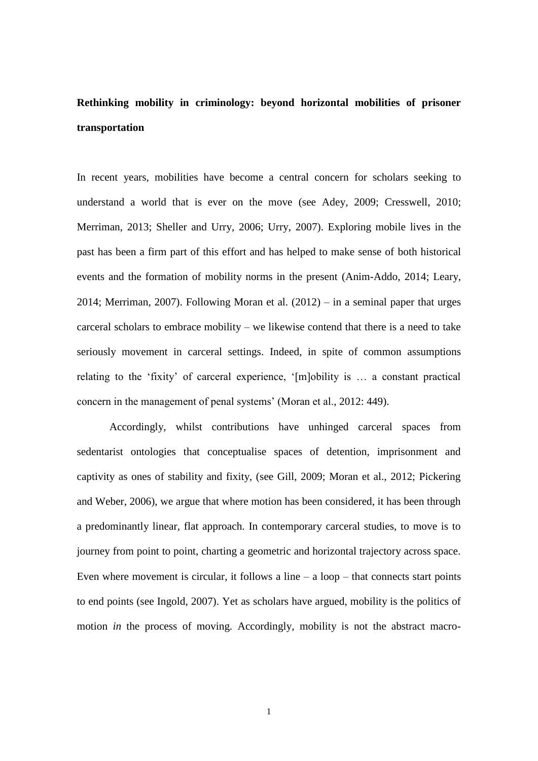# **Rethinking mobility in criminology: beyond horizontal mobilities of prisoner transportation**

In recent years, mobilities have become a central concern for scholars seeking to understand a world that is ever on the move (see Adey, 2009; Cresswell, 2010; Merriman, 2013; Sheller and Urry, 2006; Urry, 2007). Exploring mobile lives in the past has been a firm part of this effort and has helped to make sense of both historical events and the formation of mobility norms in the present (Anim-Addo, 2014; Leary, 2014; Merriman, 2007). Following Moran et al. (2012) – in a seminal paper that urges carceral scholars to embrace mobility – we likewise contend that there is a need to take seriously movement in carceral settings. Indeed, in spite of common assumptions relating to the 'fixity' of carceral experience, '[m]obility is … a constant practical concern in the management of penal systems' (Moran et al., 2012: 449).

Accordingly, whilst contributions have unhinged carceral spaces from sedentarist ontologies that conceptualise spaces of detention, imprisonment and captivity as ones of stability and fixity, (see Gill, 2009; Moran et al., 2012; Pickering and Weber, 2006), we argue that where motion has been considered, it has been through a predominantly linear, flat approach. In contemporary carceral studies, to move is to journey from point to point, charting a geometric and horizontal trajectory across space. Even where movement is circular, it follows a line  $-$  a loop  $-$  that connects start points to end points (see Ingold, 2007). Yet as scholars have argued, mobility is the politics of motion *in* the process of moving. Accordingly, mobility is not the abstract macro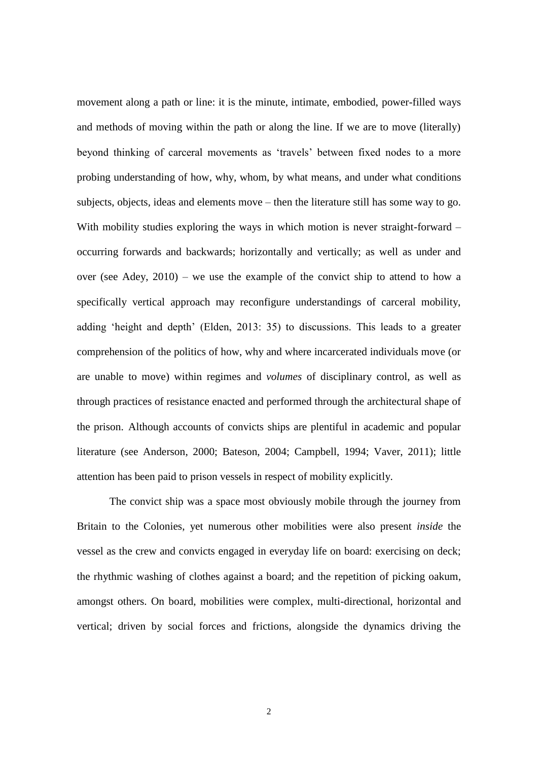movement along a path or line: it is the minute, intimate, embodied, power-filled ways and methods of moving within the path or along the line. If we are to move (literally) beyond thinking of carceral movements as 'travels' between fixed nodes to a more probing understanding of how, why, whom, by what means, and under what conditions subjects, objects, ideas and elements move – then the literature still has some way to go. With mobility studies exploring the ways in which motion is never straight-forward – occurring forwards and backwards; horizontally and vertically; as well as under and over (see Adey, 2010) – we use the example of the convict ship to attend to how a specifically vertical approach may reconfigure understandings of carceral mobility, adding 'height and depth' (Elden, 2013: 35) to discussions. This leads to a greater comprehension of the politics of how, why and where incarcerated individuals move (or are unable to move) within regimes and *volumes* of disciplinary control, as well as through practices of resistance enacted and performed through the architectural shape of the prison. Although accounts of convicts ships are plentiful in academic and popular literature (see Anderson, 2000; Bateson, 2004; Campbell, 1994; Vaver, 2011); little attention has been paid to prison vessels in respect of mobility explicitly.

The convict ship was a space most obviously mobile through the journey from Britain to the Colonies, yet numerous other mobilities were also present *inside* the vessel as the crew and convicts engaged in everyday life on board: exercising on deck; the rhythmic washing of clothes against a board; and the repetition of picking oakum, amongst others. On board, mobilities were complex, multi-directional, horizontal and vertical; driven by social forces and frictions, alongside the dynamics driving the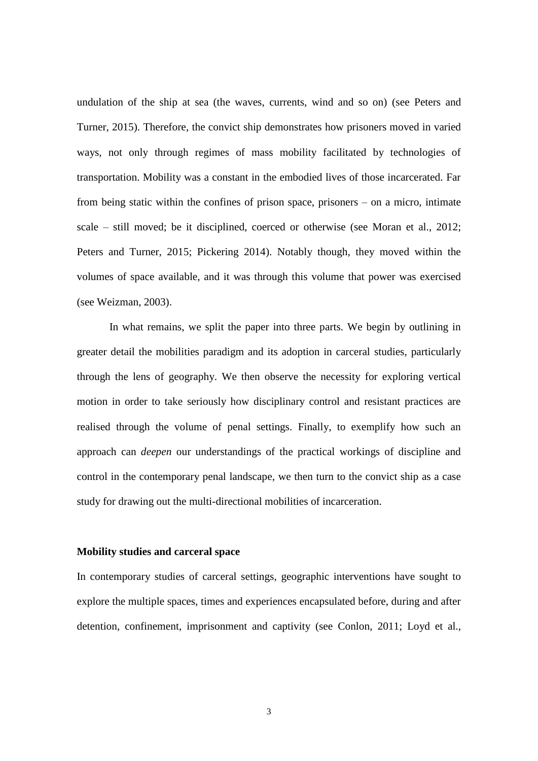undulation of the ship at sea (the waves, currents, wind and so on) (see Peters and Turner, 2015). Therefore, the convict ship demonstrates how prisoners moved in varied ways, not only through regimes of mass mobility facilitated by technologies of transportation. Mobility was a constant in the embodied lives of those incarcerated. Far from being static within the confines of prison space, prisoners – on a micro, intimate scale – still moved; be it disciplined, coerced or otherwise (see Moran et al., 2012; Peters and Turner, 2015; Pickering 2014). Notably though, they moved within the volumes of space available, and it was through this volume that power was exercised (see Weizman, 2003).

In what remains, we split the paper into three parts. We begin by outlining in greater detail the mobilities paradigm and its adoption in carceral studies, particularly through the lens of geography. We then observe the necessity for exploring vertical motion in order to take seriously how disciplinary control and resistant practices are realised through the volume of penal settings. Finally, to exemplify how such an approach can *deepen* our understandings of the practical workings of discipline and control in the contemporary penal landscape, we then turn to the convict ship as a case study for drawing out the multi-directional mobilities of incarceration.

#### **Mobility studies and carceral space**

In contemporary studies of carceral settings, geographic interventions have sought to explore the multiple spaces, times and experiences encapsulated before, during and after detention, confinement, imprisonment and captivity (see Conlon, 2011; Loyd et al.,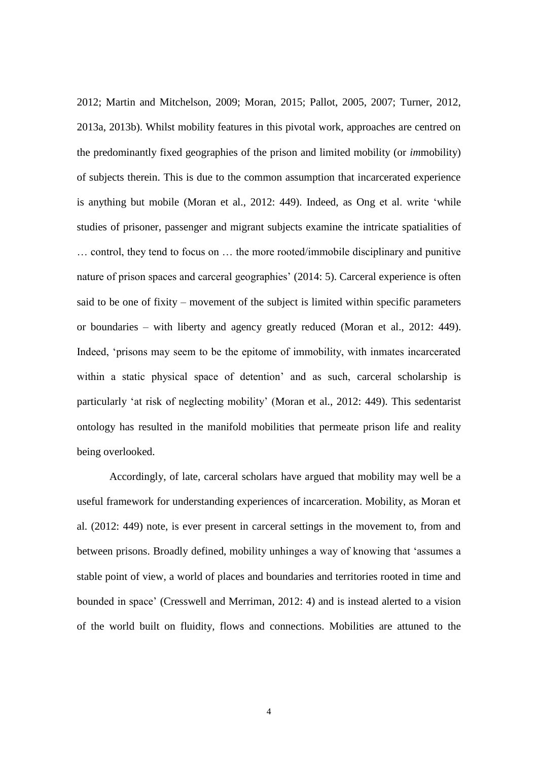2012; Martin and Mitchelson, 2009; Moran, 2015; Pallot, 2005, 2007; Turner, 2012, 2013a, 2013b). Whilst mobility features in this pivotal work, approaches are centred on the predominantly fixed geographies of the prison and limited mobility (or *im*mobility) of subjects therein. This is due to the common assumption that incarcerated experience is anything but mobile (Moran et al., 2012: 449). Indeed, as Ong et al. write 'while studies of prisoner, passenger and migrant subjects examine the intricate spatialities of … control, they tend to focus on … the more rooted/immobile disciplinary and punitive nature of prison spaces and carceral geographies' (2014: 5). Carceral experience is often said to be one of fixity – movement of the subject is limited within specific parameters or boundaries – with liberty and agency greatly reduced (Moran et al., 2012: 449). Indeed, 'prisons may seem to be the epitome of immobility, with inmates incarcerated within a static physical space of detention' and as such, carceral scholarship is particularly 'at risk of neglecting mobility' (Moran et al., 2012: 449). This sedentarist ontology has resulted in the manifold mobilities that permeate prison life and reality being overlooked.

Accordingly, of late, carceral scholars have argued that mobility may well be a useful framework for understanding experiences of incarceration. Mobility, as Moran et al. (2012: 449) note, is ever present in carceral settings in the movement to, from and between prisons. Broadly defined, mobility unhinges a way of knowing that 'assumes a stable point of view, a world of places and boundaries and territories rooted in time and bounded in space' (Cresswell and Merriman, 2012: 4) and is instead alerted to a vision of the world built on fluidity, flows and connections. Mobilities are attuned to the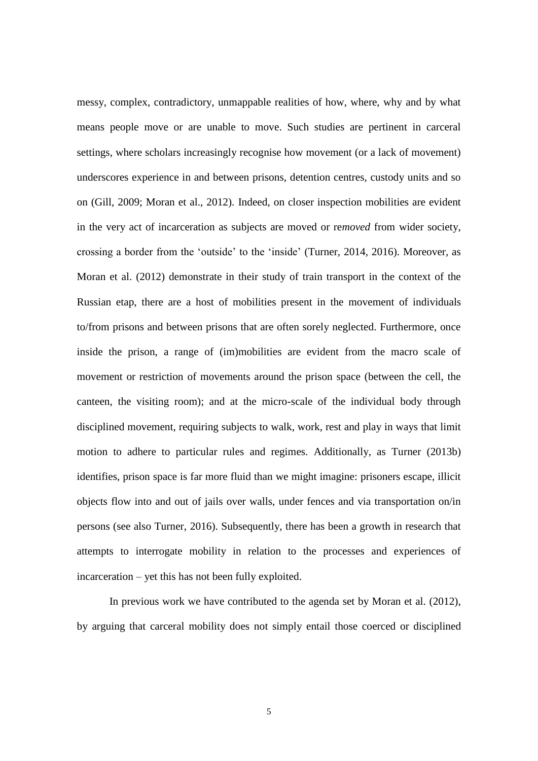messy, complex, contradictory, unmappable realities of how, where, why and by what means people move or are unable to move. Such studies are pertinent in carceral settings, where scholars increasingly recognise how movement (or a lack of movement) underscores experience in and between prisons, detention centres, custody units and so on (Gill, 2009; Moran et al., 2012). Indeed, on closer inspection mobilities are evident in the very act of incarceration as subjects are moved or re*moved* from wider society, crossing a border from the 'outside' to the 'inside' (Turner, 2014, 2016). Moreover, as Moran et al. (2012) demonstrate in their study of train transport in the context of the Russian etap, there are a host of mobilities present in the movement of individuals to/from prisons and between prisons that are often sorely neglected. Furthermore, once inside the prison, a range of (im)mobilities are evident from the macro scale of movement or restriction of movements around the prison space (between the cell, the canteen, the visiting room); and at the micro-scale of the individual body through disciplined movement, requiring subjects to walk, work, rest and play in ways that limit motion to adhere to particular rules and regimes. Additionally, as Turner (2013b) identifies, prison space is far more fluid than we might imagine: prisoners escape, illicit objects flow into and out of jails over walls, under fences and via transportation on/in persons (see also Turner, 2016). Subsequently, there has been a growth in research that attempts to interrogate mobility in relation to the processes and experiences of incarceration – yet this has not been fully exploited.

In previous work we have contributed to the agenda set by Moran et al. (2012), by arguing that carceral mobility does not simply entail those coerced or disciplined

5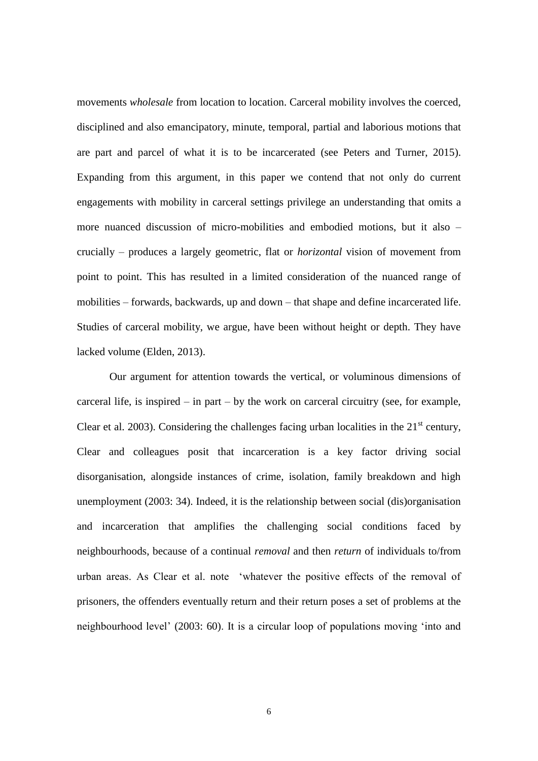movements *wholesale* from location to location. Carceral mobility involves the coerced, disciplined and also emancipatory, minute, temporal, partial and laborious motions that are part and parcel of what it is to be incarcerated (see Peters and Turner, 2015). Expanding from this argument, in this paper we contend that not only do current engagements with mobility in carceral settings privilege an understanding that omits a more nuanced discussion of micro-mobilities and embodied motions, but it also – crucially – produces a largely geometric, flat or *horizontal* vision of movement from point to point. This has resulted in a limited consideration of the nuanced range of mobilities – forwards, backwards, up and down – that shape and define incarcerated life. Studies of carceral mobility, we argue, have been without height or depth. They have lacked volume (Elden, 2013).

Our argument for attention towards the vertical, or voluminous dimensions of carceral life, is inspired  $-$  in part  $-$  by the work on carceral circuitry (see, for example, Clear et al. 2003). Considering the challenges facing urban localities in the  $21<sup>st</sup>$  century, Clear and colleagues posit that incarceration is a key factor driving social disorganisation, alongside instances of crime, isolation, family breakdown and high unemployment (2003: 34). Indeed, it is the relationship between social (dis)organisation and incarceration that amplifies the challenging social conditions faced by neighbourhoods, because of a continual *removal* and then *return* of individuals to/from urban areas. As Clear et al. note 'whatever the positive effects of the removal of prisoners, the offenders eventually return and their return poses a set of problems at the neighbourhood level' (2003: 60). It is a circular loop of populations moving 'into and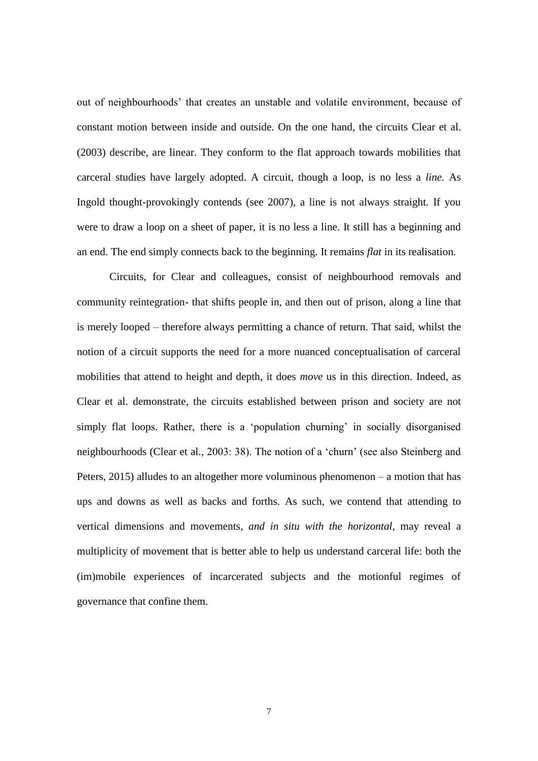out of neighbourhoods' that creates an unstable and volatile environment, because of constant motion between inside and outside. On the one hand, the circuits Clear et al. (2003) describe, are linear. They conform to the flat approach towards mobilities that carceral studies have largely adopted. A circuit, though a loop, is no less a *line.* As Ingold thought-provokingly contends (see 2007), a line is not always straight. If you were to draw a loop on a sheet of paper, it is no less a line. It still has a beginning and an end. The end simply connects back to the beginning. It remains *flat* in its realisation*.* 

Circuits, for Clear and colleagues, consist of neighbourhood removals and community reintegration- that shifts people in, and then out of prison, along a line that is merely looped – therefore always permitting a chance of return. That said, whilst the notion of a circuit supports the need for a more nuanced conceptualisation of carceral mobilities that attend to height and depth, it does *move* us in this direction. Indeed, as Clear et al. demonstrate, the circuits established between prison and society are not simply flat loops. Rather, there is a 'population churning' in socially disorganised neighbourhoods (Clear et al., 2003: 38). The notion of a 'churn' (see also Steinberg and Peters, 2015) alludes to an altogether more voluminous phenomenon – a motion that has ups and downs as well as backs and forths. As such, we contend that attending to vertical dimensions and movements, *and in situ with the horizontal*, may reveal a multiplicity of movement that is better able to help us understand carceral life: both the (im)mobile experiences of incarcerated subjects and the motionful regimes of governance that confine them.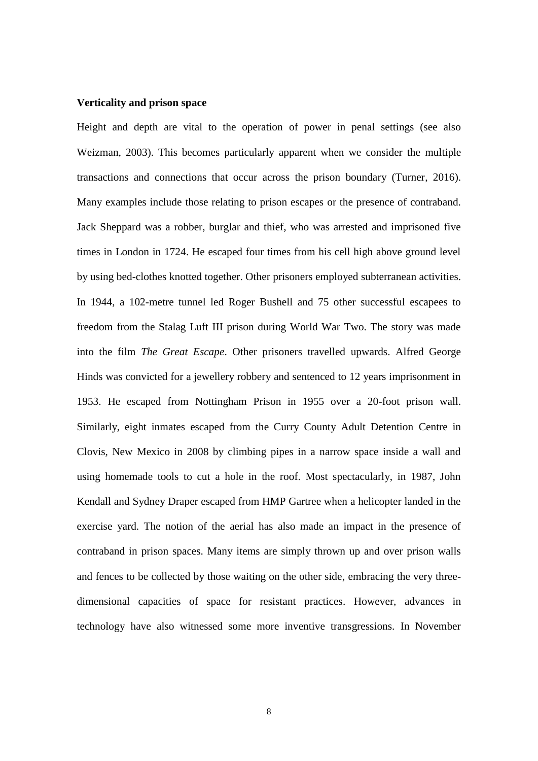#### **Verticality and prison space**

Height and depth are vital to the operation of power in penal settings (see also Weizman, 2003). This becomes particularly apparent when we consider the multiple transactions and connections that occur across the prison boundary (Turner, 2016). Many examples include those relating to prison escapes or the presence of contraband. Jack Sheppard was a robber, burglar and thief, who was arrested and imprisoned five times in London in 1724. He escaped four times from his cell high above ground level by using bed-clothes knotted together. Other prisoners employed subterranean activities. In 1944, a 102-metre tunnel led Roger Bushell and 75 other successful escapees to freedom from the Stalag Luft III prison during World War Two. The story was made into the film *The Great Escape*. Other prisoners travelled upwards. Alfred George Hinds was convicted for a jewellery robbery and sentenced to 12 years imprisonment in 1953. He escaped from Nottingham Prison in 1955 over a 20-foot prison wall. Similarly, eight inmates escaped from the Curry County Adult Detention Centre in Clovis, New Mexico in 2008 by climbing pipes in a narrow space inside a wall and using homemade tools to cut a hole in the roof. Most spectacularly, in 1987, John Kendall and Sydney Draper escaped from HMP Gartree when a helicopter landed in the exercise yard. The notion of the aerial has also made an impact in the presence of contraband in prison spaces. Many items are simply thrown up and over prison walls and fences to be collected by those waiting on the other side, embracing the very threedimensional capacities of space for resistant practices. However, advances in technology have also witnessed some more inventive transgressions. In November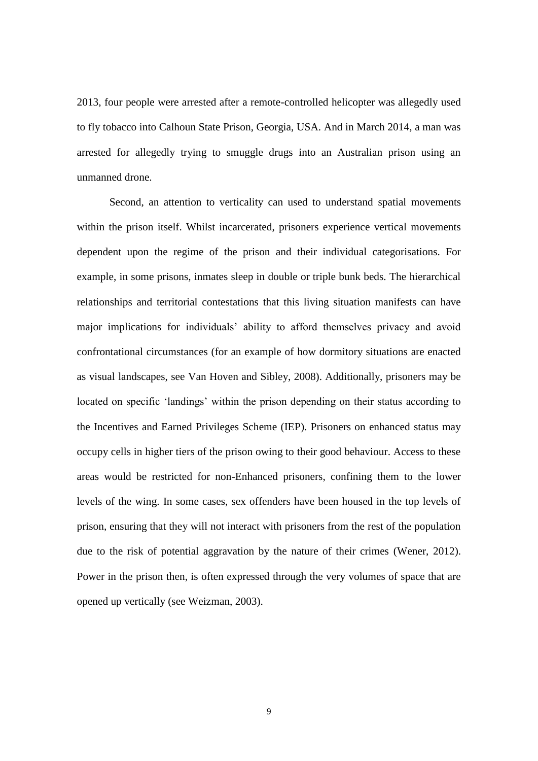2013, four people were arrested after a remote-controlled helicopter was allegedly used to fly tobacco into Calhoun State Prison, Georgia, USA. And in March 2014, a man was arrested for allegedly trying to smuggle drugs into an Australian prison using an unmanned drone.

Second, an attention to verticality can used to understand spatial movements within the prison itself. Whilst incarcerated, prisoners experience vertical movements dependent upon the regime of the prison and their individual categorisations. For example, in some prisons, inmates sleep in double or triple bunk beds. The hierarchical relationships and territorial contestations that this living situation manifests can have major implications for individuals' ability to afford themselves privacy and avoid confrontational circumstances (for an example of how dormitory situations are enacted as visual landscapes, see Van Hoven and Sibley, 2008). Additionally, prisoners may be located on specific 'landings' within the prison depending on their status according to the Incentives and Earned Privileges Scheme (IEP). Prisoners on enhanced status may occupy cells in higher tiers of the prison owing to their good behaviour. Access to these areas would be restricted for non-Enhanced prisoners, confining them to the lower levels of the wing. In some cases, sex offenders have been housed in the top levels of prison, ensuring that they will not interact with prisoners from the rest of the population due to the risk of potential aggravation by the nature of their crimes (Wener, 2012). Power in the prison then, is often expressed through the very volumes of space that are opened up vertically (see Weizman, 2003).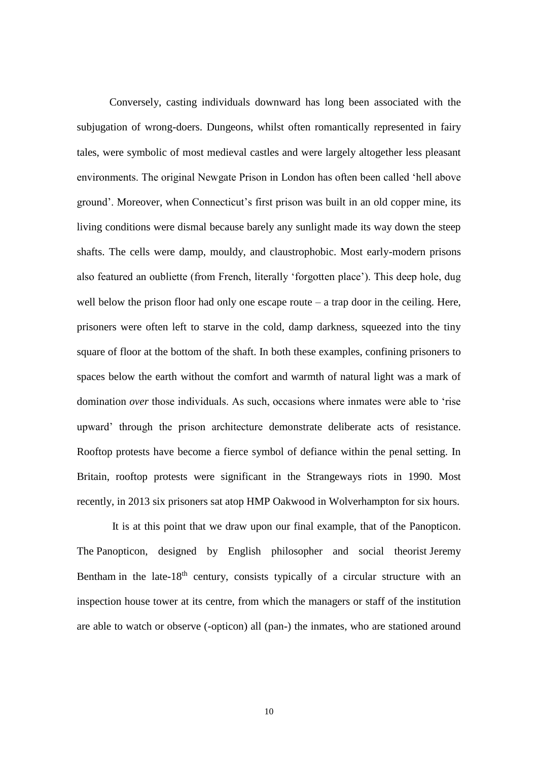Conversely, casting individuals downward has long been associated with the subjugation of wrong-doers. Dungeons, whilst often romantically represented in fairy tales, were symbolic of most medieval castles and were largely altogether less pleasant environments. The original Newgate Prison in London has often been called 'hell above ground'. Moreover, when Connecticut's first prison was built in an old copper mine, its living conditions were dismal because barely any sunlight made its way down the steep shafts. The cells were damp, mouldy, and claustrophobic. Most early-modern prisons also featured an oubliette (from French, literally 'forgotten place'). This deep hole, dug well below the prison floor had only one escape route – a trap door in the ceiling. Here, prisoners were often left to starve in the cold, damp darkness, squeezed into the tiny square of floor at the bottom of the shaft. In both these examples, confining prisoners to spaces below the earth without the comfort and warmth of natural light was a mark of domination *over* those individuals. As such, occasions where inmates were able to 'rise upward' through the prison architecture demonstrate deliberate acts of resistance. Rooftop protests have become a fierce symbol of defiance within the penal setting. In Britain, rooftop protests were significant in the Strangeways riots in 1990. Most recently, in 2013 six prisoners sat atop HMP Oakwood in Wolverhampton for six hours.

It is at this point that we draw upon our final example, that of the Panopticon. The Panopticon, designed by English philosopher and social theorist Jeremy Bentham in the late-18<sup>th</sup> century, consists typically of a circular structure with an inspection house tower at its centre, from which the managers or staff of the institution are able to watch or observe (-opticon) all (pan-) the inmates, who are stationed around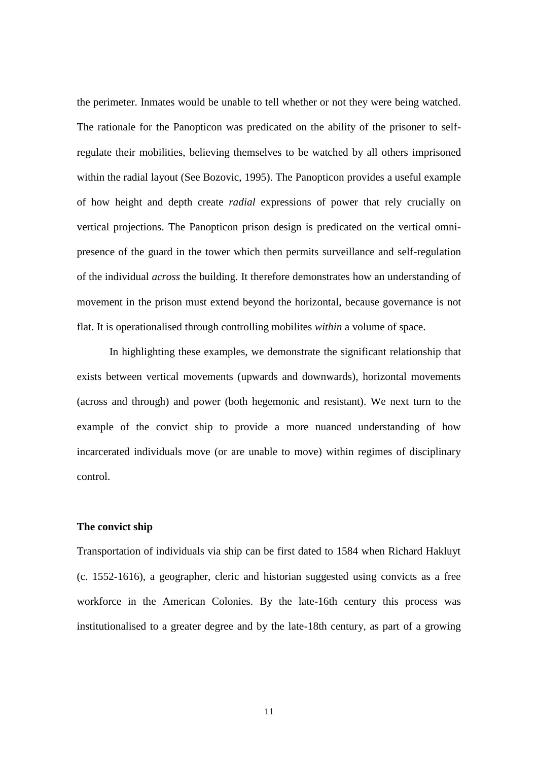the perimeter. Inmates would be unable to tell whether or not they were being watched. The rationale for the Panopticon was predicated on the ability of the prisoner to selfregulate their mobilities, believing themselves to be watched by all others imprisoned within the radial layout (See Bozovic, 1995). The Panopticon provides a useful example of how height and depth create *radial* expressions of power that rely crucially on vertical projections. The Panopticon prison design is predicated on the vertical omnipresence of the guard in the tower which then permits surveillance and self-regulation of the individual *across* the building. It therefore demonstrates how an understanding of movement in the prison must extend beyond the horizontal, because governance is not flat. It is operationalised through controlling mobilites *within* a volume of space.

In highlighting these examples, we demonstrate the significant relationship that exists between vertical movements (upwards and downwards), horizontal movements (across and through) and power (both hegemonic and resistant). We next turn to the example of the convict ship to provide a more nuanced understanding of how incarcerated individuals move (or are unable to move) within regimes of disciplinary control.

#### **The convict ship**

Transportation of individuals via ship can be first dated to 1584 when Richard Hakluyt (c. 1552-1616), a geographer, cleric and historian suggested using convicts as a free workforce in the American Colonies. By the late-16th century this process was institutionalised to a greater degree and by the late-18th century, as part of a growing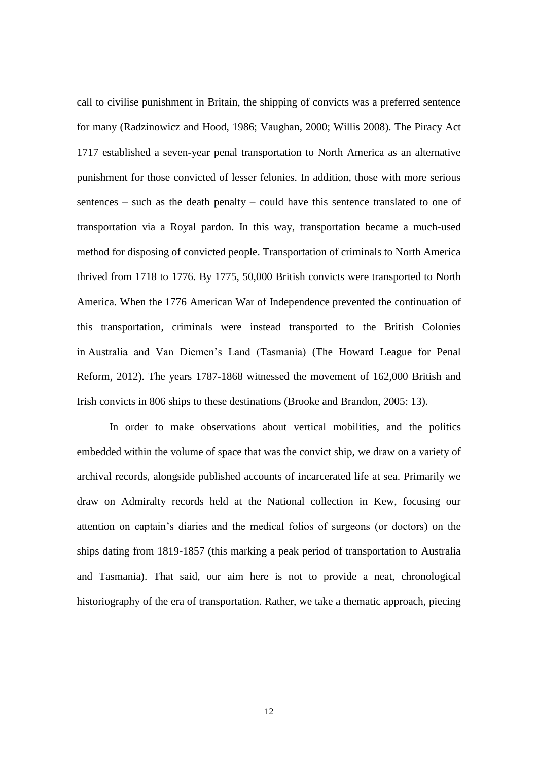call to civilise punishment in Britain, the shipping of convicts was a preferred sentence for many (Radzinowicz and Hood, 1986; Vaughan, 2000; Willis 2008). The Piracy Act 1717 established a seven-year penal transportation to North America as an alternative punishment for those convicted of lesser felonies. In addition, those with more serious sentences – such as the death penalty – could have this sentence translated to one of transportation via a Royal pardon. In this way, transportation became a much-used method for disposing of convicted people. Transportation of criminals to North America thrived from 1718 to 1776. By 1775, 50,000 British convicts were transported to North America. When the 1776 American War of Independence prevented the continuation of this transportation, criminals were instead transported to the British Colonies in Australia and Van Diemen's Land (Tasmania) (The Howard League for Penal Reform, 2012). The years 1787-1868 witnessed the movement of 162,000 British and Irish convicts in 806 ships to these destinations (Brooke and Brandon, 2005: 13).

In order to make observations about vertical mobilities, and the politics embedded within the volume of space that was the convict ship, we draw on a variety of archival records, alongside published accounts of incarcerated life at sea. Primarily we draw on Admiralty records held at the National collection in Kew, focusing our attention on captain's diaries and the medical folios of surgeons (or doctors) on the ships dating from 1819-1857 (this marking a peak period of transportation to Australia and Tasmania). That said, our aim here is not to provide a neat, chronological historiography of the era of transportation. Rather, we take a thematic approach, piecing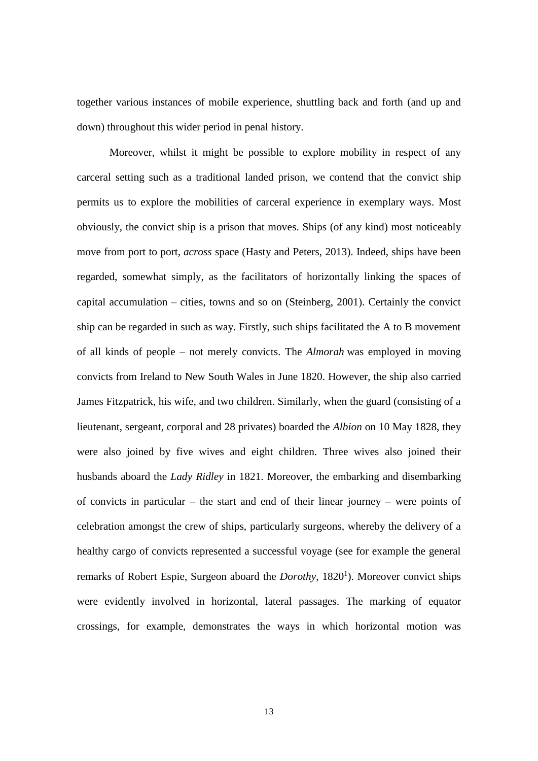together various instances of mobile experience, shuttling back and forth (and up and down) throughout this wider period in penal history.

Moreover, whilst it might be possible to explore mobility in respect of any carceral setting such as a traditional landed prison, we contend that the convict ship permits us to explore the mobilities of carceral experience in exemplary ways. Most obviously, the convict ship is a prison that moves. Ships (of any kind) most noticeably move from port to port, *across* space (Hasty and Peters, 2013). Indeed, ships have been regarded, somewhat simply, as the facilitators of horizontally linking the spaces of capital accumulation – cities, towns and so on (Steinberg, 2001). Certainly the convict ship can be regarded in such as way. Firstly, such ships facilitated the A to B movement of all kinds of people – not merely convicts. The *Almorah* was employed in moving convicts from Ireland to New South Wales in June 1820. However, the ship also carried James Fitzpatrick, his wife, and two children. Similarly, when the guard (consisting of a lieutenant, sergeant, corporal and 28 privates) boarded the *Albion* on 10 May 1828, they were also joined by five wives and eight children. Three wives also joined their husbands aboard the *Lady Ridley* in 1821. Moreover, the embarking and disembarking of convicts in particular – the start and end of their linear journey – were points of celebration amongst the crew of ships, particularly surgeons, whereby the delivery of a healthy cargo of convicts represented a successful voyage (see for example the general remarks of Robert Espie, Surgeon aboard the *Dorothy*, 1820<sup>1</sup>). Moreover convict ships were evidently involved in horizontal, lateral passages. The marking of equator crossings, for example, demonstrates the ways in which horizontal motion was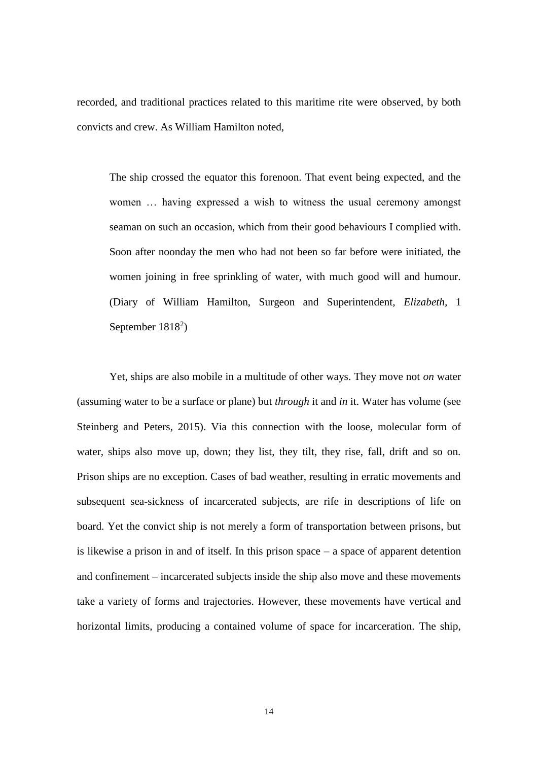recorded, and traditional practices related to this maritime rite were observed, by both convicts and crew. As William Hamilton noted,

The ship crossed the equator this forenoon. That event being expected, and the women … having expressed a wish to witness the usual ceremony amongst seaman on such an occasion, which from their good behaviours I complied with. Soon after noonday the men who had not been so far before were initiated, the women joining in free sprinkling of water, with much good will and humour. (Diary of William Hamilton, Surgeon and Superintendent, *Elizabeth,* 1 September 1818<sup>2</sup>)

Yet, ships are also mobile in a multitude of other ways. They move not *on* water (assuming water to be a surface or plane) but *through* it and *in* it. Water has volume (see Steinberg and Peters, 2015). Via this connection with the loose, molecular form of water, ships also move up, down; they list, they tilt, they rise, fall, drift and so on. Prison ships are no exception. Cases of bad weather, resulting in erratic movements and subsequent sea-sickness of incarcerated subjects, are rife in descriptions of life on board. Yet the convict ship is not merely a form of transportation between prisons, but is likewise a prison in and of itself. In this prison space – a space of apparent detention and confinement – incarcerated subjects inside the ship also move and these movements take a variety of forms and trajectories. However, these movements have vertical and horizontal limits, producing a contained volume of space for incarceration. The ship,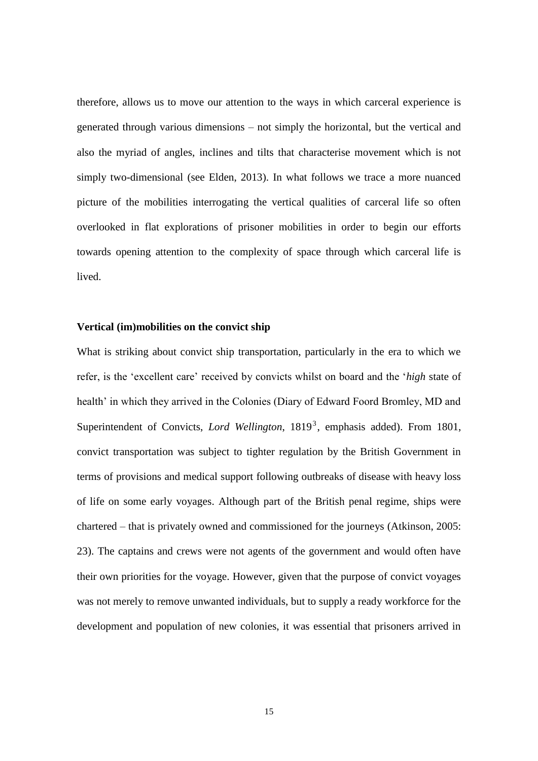therefore, allows us to move our attention to the ways in which carceral experience is generated through various dimensions – not simply the horizontal, but the vertical and also the myriad of angles, inclines and tilts that characterise movement which is not simply two-dimensional (see Elden, 2013). In what follows we trace a more nuanced picture of the mobilities interrogating the vertical qualities of carceral life so often overlooked in flat explorations of prisoner mobilities in order to begin our efforts towards opening attention to the complexity of space through which carceral life is lived.

### **Vertical (im)mobilities on the convict ship**

What is striking about convict ship transportation, particularly in the era to which we refer, is the 'excellent care' received by convicts whilst on board and the '*high* state of health' in which they arrived in the Colonies (Diary of Edward Foord Bromley, MD and Superintendent of Convicts, *Lord Wellington*, 1819<sup>3</sup>, emphasis added). From 1801, convict transportation was subject to tighter regulation by the British Government in terms of provisions and medical support following outbreaks of disease with heavy loss of life on some early voyages. Although part of the British penal regime, ships were chartered – that is privately owned and commissioned for the journeys (Atkinson, 2005: 23). The captains and crews were not agents of the government and would often have their own priorities for the voyage. However, given that the purpose of convict voyages was not merely to remove unwanted individuals, but to supply a ready workforce for the development and population of new colonies, it was essential that prisoners arrived in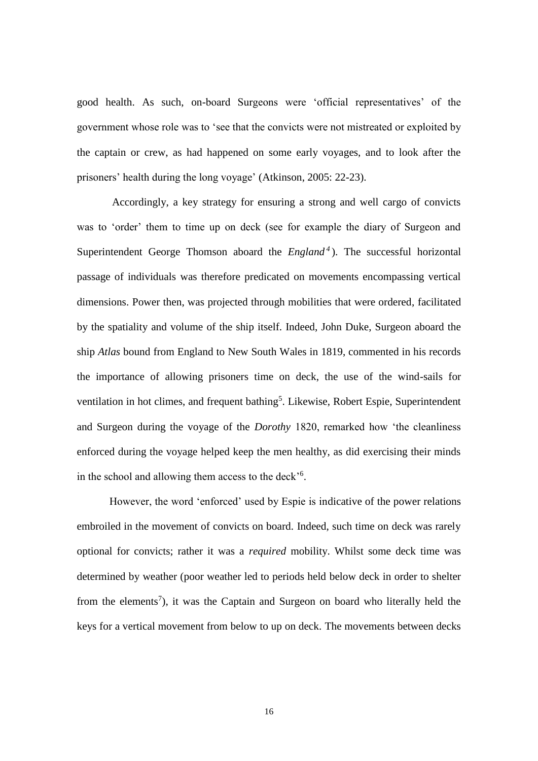good health. As such, on-board Surgeons were 'official representatives' of the government whose role was to 'see that the convicts were not mistreated or exploited by the captain or crew, as had happened on some early voyages, and to look after the prisoners' health during the long voyage' (Atkinson, 2005: 22-23).

Accordingly, a key strategy for ensuring a strong and well cargo of convicts was to 'order' them to time up on deck (see for example the diary of Surgeon and Superintendent George Thomson aboard the *England<sup>4</sup>*). The successful horizontal passage of individuals was therefore predicated on movements encompassing vertical dimensions. Power then, was projected through mobilities that were ordered, facilitated by the spatiality and volume of the ship itself. Indeed, John Duke, Surgeon aboard the ship *Atlas* bound from England to New South Wales in 1819, commented in his records the importance of allowing prisoners time on deck, the use of the wind-sails for ventilation in hot climes, and frequent bathing<sup>5</sup>. Likewise, Robert Espie, Superintendent and Surgeon during the voyage of the *Dorothy* 1820, remarked how 'the cleanliness enforced during the voyage helped keep the men healthy, as did exercising their minds in the school and allowing them access to the deck'<sup>6</sup> .

However, the word 'enforced' used by Espie is indicative of the power relations embroiled in the movement of convicts on board. Indeed, such time on deck was rarely optional for convicts; rather it was a *required* mobility. Whilst some deck time was determined by weather (poor weather led to periods held below deck in order to shelter from the elements<sup>7</sup>), it was the Captain and Surgeon on board who literally held the keys for a vertical movement from below to up on deck. The movements between decks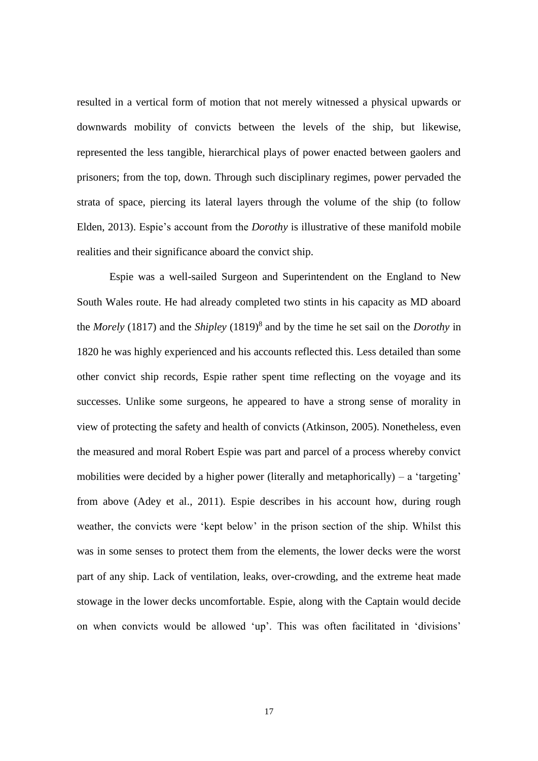resulted in a vertical form of motion that not merely witnessed a physical upwards or downwards mobility of convicts between the levels of the ship, but likewise, represented the less tangible, hierarchical plays of power enacted between gaolers and prisoners; from the top, down. Through such disciplinary regimes, power pervaded the strata of space, piercing its lateral layers through the volume of the ship (to follow Elden, 2013). Espie's account from the *Dorothy* is illustrative of these manifold mobile realities and their significance aboard the convict ship.

Espie was a well-sailed Surgeon and Superintendent on the England to New South Wales route. He had already completed two stints in his capacity as MD aboard the *Morely* (1817) and the *Shipley* (1819)<sup>8</sup> and by the time he set sail on the *Dorothy* in 1820 he was highly experienced and his accounts reflected this. Less detailed than some other convict ship records, Espie rather spent time reflecting on the voyage and its successes. Unlike some surgeons, he appeared to have a strong sense of morality in view of protecting the safety and health of convicts (Atkinson, 2005). Nonetheless, even the measured and moral Robert Espie was part and parcel of a process whereby convict mobilities were decided by a higher power (literally and metaphorically) – a 'targeting' from above (Adey et al., 2011). Espie describes in his account how, during rough weather, the convicts were 'kept below' in the prison section of the ship. Whilst this was in some senses to protect them from the elements, the lower decks were the worst part of any ship. Lack of ventilation, leaks, over-crowding, and the extreme heat made stowage in the lower decks uncomfortable. Espie, along with the Captain would decide on when convicts would be allowed 'up'. This was often facilitated in 'divisions'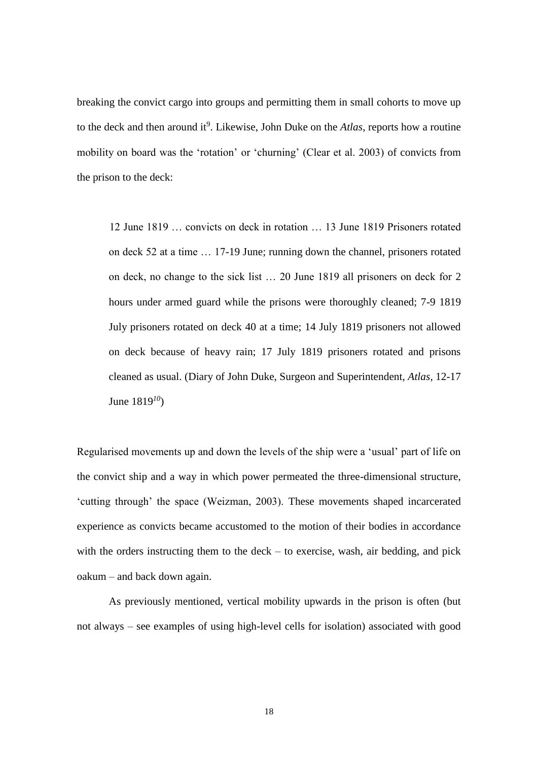breaking the convict cargo into groups and permitting them in small cohorts to move up to the deck and then around it<sup>9</sup>. Likewise, John Duke on the *Atlas*, reports how a routine mobility on board was the 'rotation' or 'churning' (Clear et al. 2003) of convicts from the prison to the deck:

12 June 1819 … convicts on deck in rotation … 13 June 1819 Prisoners rotated on deck 52 at a time … 17-19 June; running down the channel, prisoners rotated on deck, no change to the sick list … 20 June 1819 all prisoners on deck for 2 hours under armed guard while the prisons were thoroughly cleaned; 7-9 1819 July prisoners rotated on deck 40 at a time; 14 July 1819 prisoners not allowed on deck because of heavy rain; 17 July 1819 prisoners rotated and prisons cleaned as usual. (Diary of John Duke, Surgeon and Superintendent, *Atlas,* 12-17 June 1819*<sup>10</sup>*)

Regularised movements up and down the levels of the ship were a 'usual' part of life on the convict ship and a way in which power permeated the three-dimensional structure, 'cutting through' the space (Weizman, 2003). These movements shaped incarcerated experience as convicts became accustomed to the motion of their bodies in accordance with the orders instructing them to the deck – to exercise, wash, air bedding, and pick oakum – and back down again.

As previously mentioned, vertical mobility upwards in the prison is often (but not always – see examples of using high-level cells for isolation) associated with good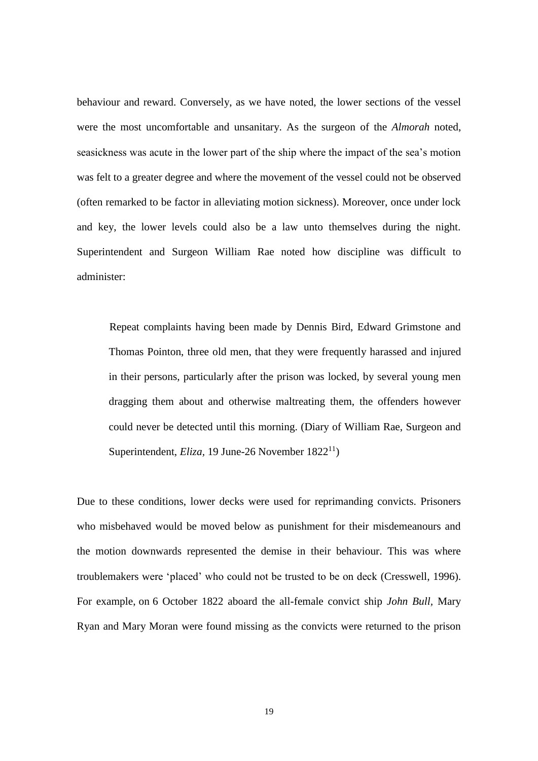behaviour and reward. Conversely, as we have noted, the lower sections of the vessel were the most uncomfortable and unsanitary. As the surgeon of the *Almorah* noted, seasickness was acute in the lower part of the ship where the impact of the sea's motion was felt to a greater degree and where the movement of the vessel could not be observed (often remarked to be factor in alleviating motion sickness). Moreover, once under lock and key, the lower levels could also be a law unto themselves during the night. Superintendent and Surgeon William Rae noted how discipline was difficult to administer:

Repeat complaints having been made by Dennis Bird, Edward Grimstone and Thomas Pointon, three old men, that they were frequently harassed and injured in their persons, particularly after the prison was locked, by several young men dragging them about and otherwise maltreating them, the offenders however could never be detected until this morning. (Diary of William Rae, Surgeon and Superintendent, *Eliza*, 19 June-26 November 1822<sup>11</sup>)

Due to these conditions, lower decks were used for reprimanding convicts. Prisoners who misbehaved would be moved below as punishment for their misdemeanours and the motion downwards represented the demise in their behaviour. This was where troublemakers were 'placed' who could not be trusted to be on deck (Cresswell, 1996). For example, on 6 October 1822 aboard the all-female convict ship *John Bull,* Mary Ryan and Mary Moran were found missing as the convicts were returned to the prison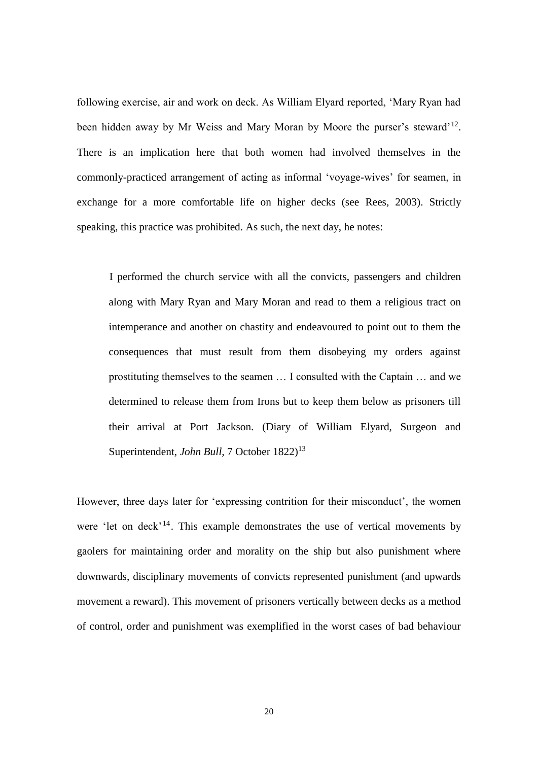following exercise, air and work on deck. As William Elyard reported, 'Mary Ryan had been hidden away by Mr Weiss and Mary Moran by Moore the purser's steward'<sup>12</sup>. There is an implication here that both women had involved themselves in the commonly-practiced arrangement of acting as informal 'voyage-wives' for seamen, in exchange for a more comfortable life on higher decks (see Rees, 2003). Strictly speaking, this practice was prohibited. As such, the next day, he notes:

I performed the church service with all the convicts, passengers and children along with Mary Ryan and Mary Moran and read to them a religious tract on intemperance and another on chastity and endeavoured to point out to them the consequences that must result from them disobeying my orders against prostituting themselves to the seamen … I consulted with the Captain … and we determined to release them from Irons but to keep them below as prisoners till their arrival at Port Jackson. (Diary of William Elyard, Surgeon and Superintendent, *John Bull*, 7 October 1822)<sup>13</sup>

However, three days later for 'expressing contrition for their misconduct', the women were 'let on deck'<sup>14</sup>. This example demonstrates the use of vertical movements by gaolers for maintaining order and morality on the ship but also punishment where downwards, disciplinary movements of convicts represented punishment (and upwards movement a reward). This movement of prisoners vertically between decks as a method of control, order and punishment was exemplified in the worst cases of bad behaviour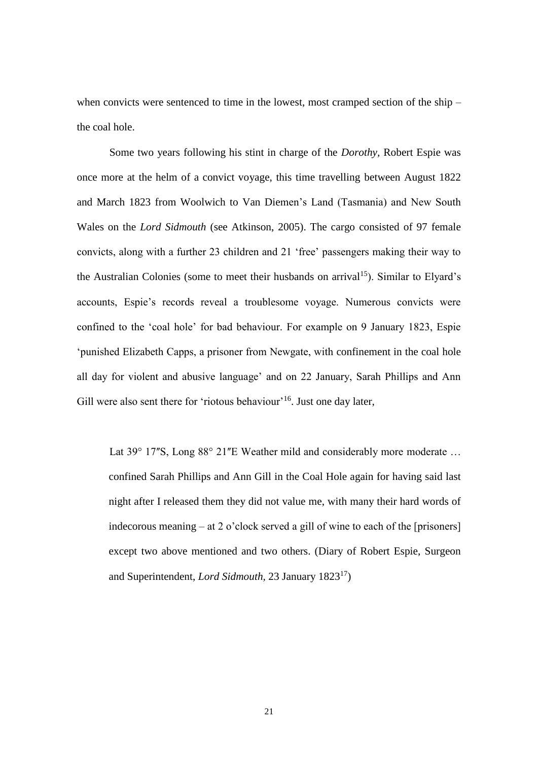when convicts were sentenced to time in the lowest, most cramped section of the ship – the coal hole.

Some two years following his stint in charge of the *Dorothy,* Robert Espie was once more at the helm of a convict voyage, this time travelling between August 1822 and March 1823 from Woolwich to Van Diemen's Land (Tasmania) and New South Wales on the *Lord Sidmouth* (see Atkinson, 2005). The cargo consisted of 97 female convicts, along with a further 23 children and 21 'free' passengers making their way to the Australian Colonies (some to meet their husbands on arrival<sup>15</sup>). Similar to Elyard's accounts, Espie's records reveal a troublesome voyage. Numerous convicts were confined to the 'coal hole' for bad behaviour. For example on 9 January 1823, Espie 'punished Elizabeth Capps, a prisoner from Newgate, with confinement in the coal hole all day for violent and abusive language' and on 22 January, Sarah Phillips and Ann Gill were also sent there for 'riotous behaviour'<sup>16</sup>. Just one day later,

Lat 39° 17″S, Long 88° 21″E Weather mild and considerably more moderate ... confined Sarah Phillips and Ann Gill in the Coal Hole again for having said last night after I released them they did not value me, with many their hard words of indecorous meaning – at 2 o'clock served a gill of wine to each of the [prisoners] except two above mentioned and two others. (Diary of Robert Espie, Surgeon and Superintendent, *Lord Sidmouth,* 23 January 1823<sup>17</sup>)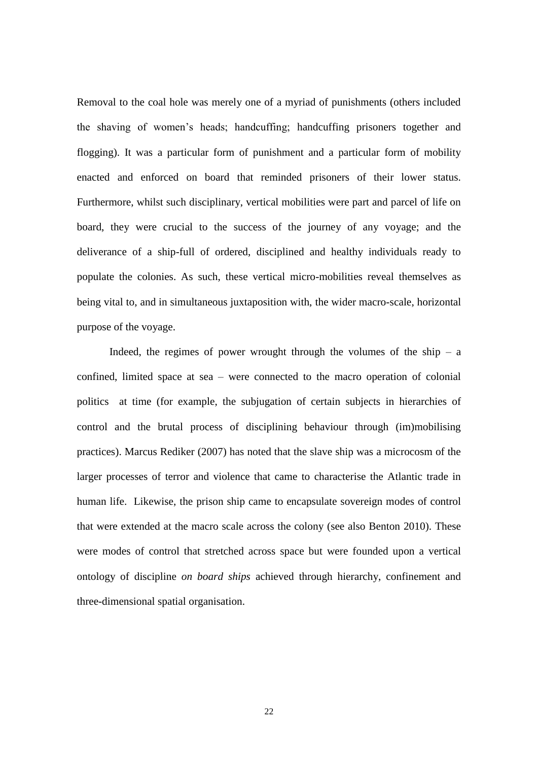Removal to the coal hole was merely one of a myriad of punishments (others included the shaving of women's heads; handcuffing; handcuffing prisoners together and flogging). It was a particular form of punishment and a particular form of mobility enacted and enforced on board that reminded prisoners of their lower status. Furthermore, whilst such disciplinary, vertical mobilities were part and parcel of life on board, they were crucial to the success of the journey of any voyage; and the deliverance of a ship-full of ordered, disciplined and healthy individuals ready to populate the colonies. As such, these vertical micro-mobilities reveal themselves as being vital to, and in simultaneous juxtaposition with, the wider macro-scale, horizontal purpose of the voyage.

Indeed, the regimes of power wrought through the volumes of the ship – a confined, limited space at sea – were connected to the macro operation of colonial politics at time (for example, the subjugation of certain subjects in hierarchies of control and the brutal process of disciplining behaviour through (im)mobilising practices). Marcus Rediker (2007) has noted that the slave ship was a microcosm of the larger processes of terror and violence that came to characterise the Atlantic trade in human life. Likewise, the prison ship came to encapsulate sovereign modes of control that were extended at the macro scale across the colony (see also Benton 2010). These were modes of control that stretched across space but were founded upon a vertical ontology of discipline *on board ships* achieved through hierarchy, confinement and three-dimensional spatial organisation.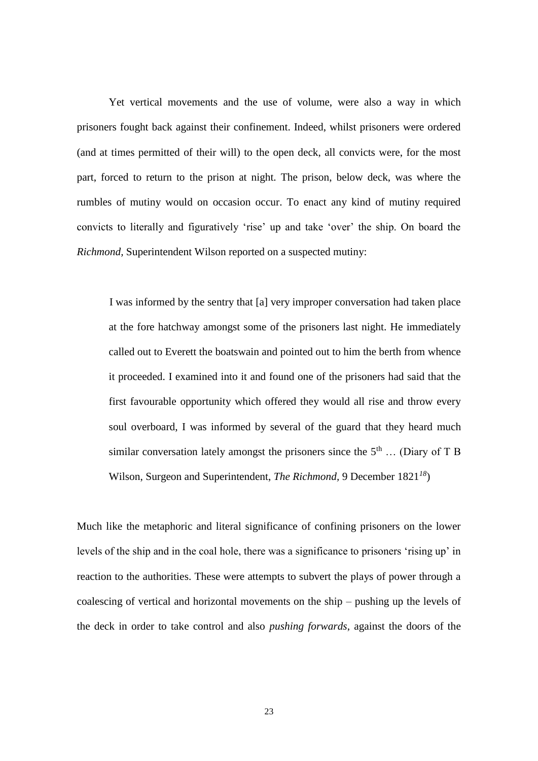Yet vertical movements and the use of volume, were also a way in which prisoners fought back against their confinement. Indeed, whilst prisoners were ordered (and at times permitted of their will) to the open deck, all convicts were, for the most part, forced to return to the prison at night. The prison, below deck, was where the rumbles of mutiny would on occasion occur. To enact any kind of mutiny required convicts to literally and figuratively 'rise' up and take 'over' the ship. On board the *Richmond,* Superintendent Wilson reported on a suspected mutiny:

I was informed by the sentry that [a] very improper conversation had taken place at the fore hatchway amongst some of the prisoners last night. He immediately called out to Everett the boatswain and pointed out to him the berth from whence it proceeded. I examined into it and found one of the prisoners had said that the first favourable opportunity which offered they would all rise and throw every soul overboard, I was informed by several of the guard that they heard much similar conversation lately amongst the prisoners since the  $5<sup>th</sup>$  ... (Diary of T B Wilson, Surgeon and Superintendent, *The Richmond,* 9 December 1821*<sup>18</sup>*)

Much like the metaphoric and literal significance of confining prisoners on the lower levels of the ship and in the coal hole, there was a significance to prisoners 'rising up' in reaction to the authorities. These were attempts to subvert the plays of power through a coalescing of vertical and horizontal movements on the ship – pushing up the levels of the deck in order to take control and also *pushing forwards*, against the doors of the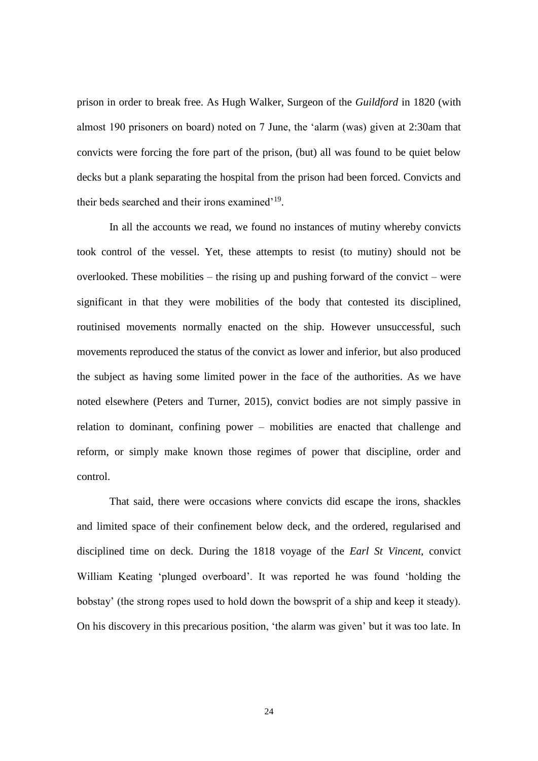prison in order to break free. As Hugh Walker, Surgeon of the *Guildford* in 1820 (with almost 190 prisoners on board) noted on 7 June, the 'alarm (was) given at 2:30am that convicts were forcing the fore part of the prison, (but) all was found to be quiet below decks but a plank separating the hospital from the prison had been forced. Convicts and their beds searched and their irons examined'<sup>19</sup>.

In all the accounts we read, we found no instances of mutiny whereby convicts took control of the vessel. Yet, these attempts to resist (to mutiny) should not be overlooked. These mobilities – the rising up and pushing forward of the convict – were significant in that they were mobilities of the body that contested its disciplined, routinised movements normally enacted on the ship. However unsuccessful, such movements reproduced the status of the convict as lower and inferior, but also produced the subject as having some limited power in the face of the authorities. As we have noted elsewhere (Peters and Turner, 2015), convict bodies are not simply passive in relation to dominant, confining power – mobilities are enacted that challenge and reform, or simply make known those regimes of power that discipline, order and control.

That said, there were occasions where convicts did escape the irons, shackles and limited space of their confinement below deck, and the ordered, regularised and disciplined time on deck. During the 1818 voyage of the *Earl St Vincent,* convict William Keating 'plunged overboard'. It was reported he was found 'holding the bobstay' (the strong ropes used to hold down the bowsprit of a ship and keep it steady). On his discovery in this precarious position, 'the alarm was given' but it was too late. In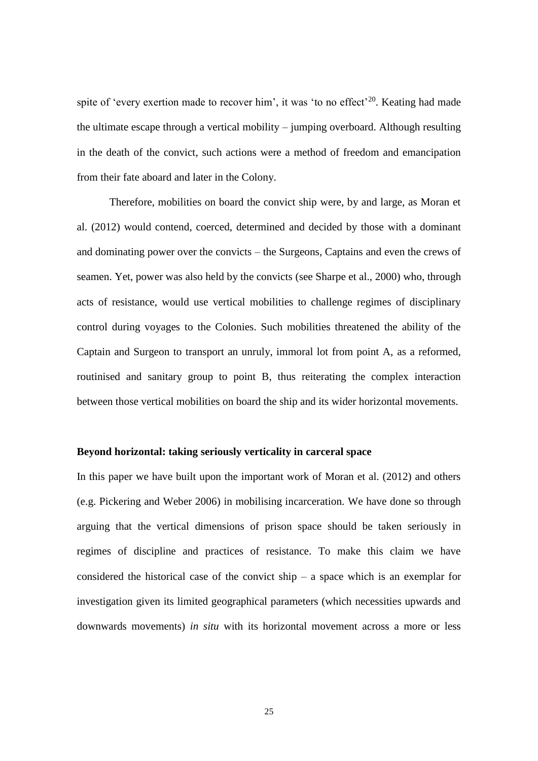spite of 'every exertion made to recover him', it was 'to no effect'<sup>20</sup>. Keating had made the ultimate escape through a vertical mobility – jumping overboard. Although resulting in the death of the convict, such actions were a method of freedom and emancipation from their fate aboard and later in the Colony.

Therefore, mobilities on board the convict ship were, by and large, as Moran et al. (2012) would contend, coerced, determined and decided by those with a dominant and dominating power over the convicts – the Surgeons, Captains and even the crews of seamen. Yet, power was also held by the convicts (see Sharpe et al., 2000) who, through acts of resistance, would use vertical mobilities to challenge regimes of disciplinary control during voyages to the Colonies. Such mobilities threatened the ability of the Captain and Surgeon to transport an unruly, immoral lot from point A, as a reformed, routinised and sanitary group to point B, thus reiterating the complex interaction between those vertical mobilities on board the ship and its wider horizontal movements.

## **Beyond horizontal: taking seriously verticality in carceral space**

In this paper we have built upon the important work of Moran et al. (2012) and others (e.g. Pickering and Weber 2006) in mobilising incarceration. We have done so through arguing that the vertical dimensions of prison space should be taken seriously in regimes of discipline and practices of resistance. To make this claim we have considered the historical case of the convict ship – a space which is an exemplar for investigation given its limited geographical parameters (which necessities upwards and downwards movements) *in situ* with its horizontal movement across a more or less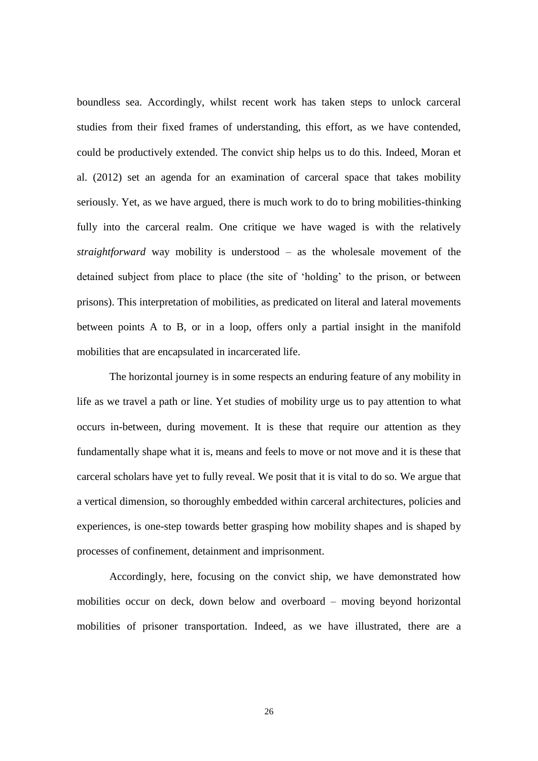boundless sea. Accordingly, whilst recent work has taken steps to unlock carceral studies from their fixed frames of understanding, this effort, as we have contended, could be productively extended. The convict ship helps us to do this. Indeed, Moran et al. (2012) set an agenda for an examination of carceral space that takes mobility seriously. Yet, as we have argued, there is much work to do to bring mobilities-thinking fully into the carceral realm. One critique we have waged is with the relatively *straightforward* way mobility is understood – as the wholesale movement of the detained subject from place to place (the site of 'holding' to the prison, or between prisons). This interpretation of mobilities, as predicated on literal and lateral movements between points A to B, or in a loop, offers only a partial insight in the manifold mobilities that are encapsulated in incarcerated life.

The horizontal journey is in some respects an enduring feature of any mobility in life as we travel a path or line. Yet studies of mobility urge us to pay attention to what occurs in-between, during movement. It is these that require our attention as they fundamentally shape what it is, means and feels to move or not move and it is these that carceral scholars have yet to fully reveal. We posit that it is vital to do so. We argue that a vertical dimension, so thoroughly embedded within carceral architectures, policies and experiences, is one-step towards better grasping how mobility shapes and is shaped by processes of confinement, detainment and imprisonment.

Accordingly, here, focusing on the convict ship, we have demonstrated how mobilities occur on deck, down below and overboard – moving beyond horizontal mobilities of prisoner transportation. Indeed, as we have illustrated, there are a

26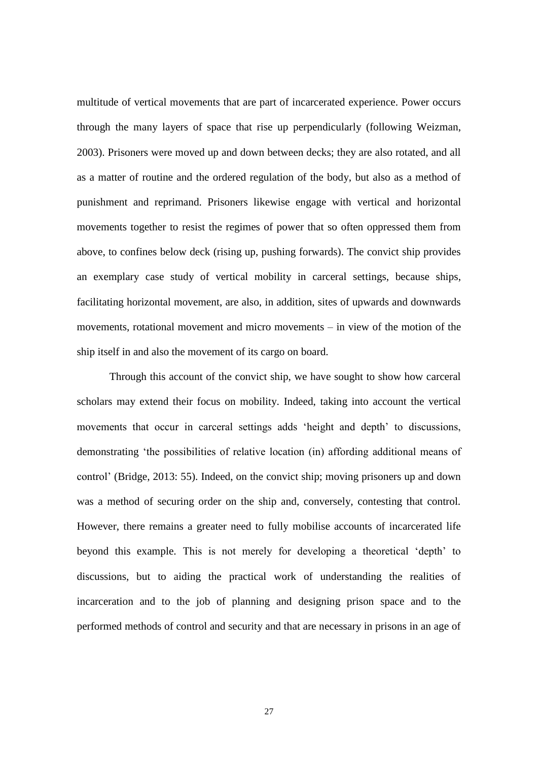multitude of vertical movements that are part of incarcerated experience. Power occurs through the many layers of space that rise up perpendicularly (following Weizman, 2003). Prisoners were moved up and down between decks; they are also rotated, and all as a matter of routine and the ordered regulation of the body, but also as a method of punishment and reprimand. Prisoners likewise engage with vertical and horizontal movements together to resist the regimes of power that so often oppressed them from above, to confines below deck (rising up, pushing forwards). The convict ship provides an exemplary case study of vertical mobility in carceral settings, because ships, facilitating horizontal movement, are also, in addition, sites of upwards and downwards movements, rotational movement and micro movements – in view of the motion of the ship itself in and also the movement of its cargo on board.

Through this account of the convict ship, we have sought to show how carceral scholars may extend their focus on mobility. Indeed, taking into account the vertical movements that occur in carceral settings adds 'height and depth' to discussions, demonstrating 'the possibilities of relative location (in) affording additional means of control' (Bridge, 2013: 55). Indeed, on the convict ship; moving prisoners up and down was a method of securing order on the ship and, conversely, contesting that control. However, there remains a greater need to fully mobilise accounts of incarcerated life beyond this example. This is not merely for developing a theoretical 'depth' to discussions, but to aiding the practical work of understanding the realities of incarceration and to the job of planning and designing prison space and to the performed methods of control and security and that are necessary in prisons in an age of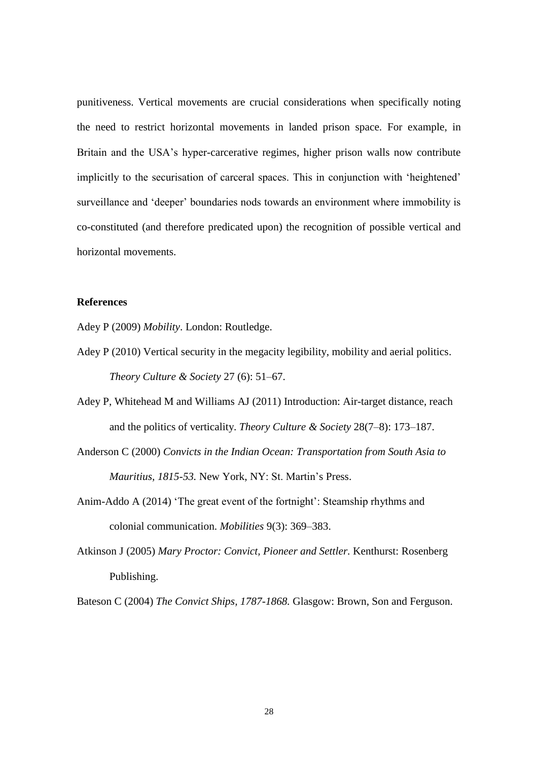punitiveness. Vertical movements are crucial considerations when specifically noting the need to restrict horizontal movements in landed prison space. For example, in Britain and the USA's hyper-carcerative regimes, higher prison walls now contribute implicitly to the securisation of carceral spaces. This in conjunction with 'heightened' surveillance and 'deeper' boundaries nods towards an environment where immobility is co-constituted (and therefore predicated upon) the recognition of possible vertical and horizontal movements.

## **References**

Adey P (2009) *Mobility*. London: Routledge.

- Adey P (2010) Vertical security in the megacity legibility, mobility and aerial politics. *Theory Culture & Society* 27 (6): 51–67.
- Adey P, Whitehead M and Williams AJ (2011) Introduction: Air-target distance, reach and the politics of verticality. *Theory Culture & Society* 28(7–8): 173–187.
- Anderson C (2000) *Convicts in the Indian Ocean: Transportation from South Asia to Mauritius, 1815-53.* New York, NY: St. Martin's Press.
- Anim-Addo A (2014) 'The great event of the fortnight': Steamship rhythms and colonial communication. *Mobilities* 9(3): 369–383.
- Atkinson J (2005) *Mary Proctor: Convict, Pioneer and Settler.* Kenthurst: Rosenberg Publishing.

Bateson C (2004) *The Convict Ships, 1787-1868.* Glasgow: Brown, Son and Ferguson.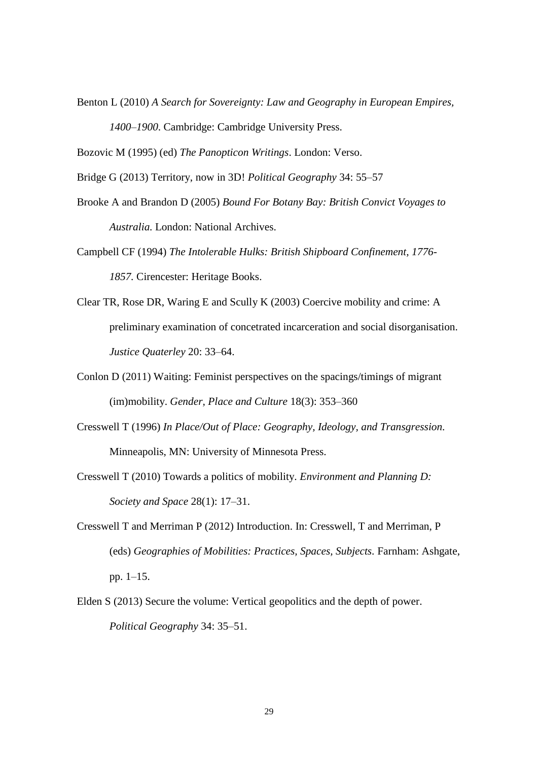Benton L (2010) *A Search for Sovereignty: Law and Geography in European Empires, 1400–1900*. Cambridge: Cambridge University Press.

Bozovic M (1995) (ed) *The Panopticon Writings*. London: Verso.

Bridge G (2013) Territory, now in 3D! *Political Geography* 34: 55–57

- Brooke A and Brandon D (2005) *Bound For Botany Bay: British Convict Voyages to Australia.* London: National Archives.
- Campbell CF (1994) *The Intolerable Hulks: British Shipboard Confinement, 1776- 1857.* Cirencester: Heritage Books.
- Clear TR, Rose DR, Waring E and Scully K (2003) Coercive mobility and crime: A preliminary examination of concetrated incarceration and social disorganisation. *Justice Quaterley* 20: 33–64.
- Conlon D (2011) Waiting: Feminist perspectives on the spacings/timings of migrant (im)mobility. *Gender, Place and Culture* 18(3): 353–360
- Cresswell T (1996) *In Place/Out of Place: Geography, Ideology, and Transgression.*  Minneapolis, MN: University of Minnesota Press.
- Cresswell T (2010) Towards a politics of mobility. *Environment and Planning D: Society and Space* 28(1): 17–31.
- Cresswell T and Merriman P (2012) Introduction. In: Cresswell, T and Merriman, P (eds) *Geographies of Mobilities: Practices, Spaces, Subjects.* Farnham: Ashgate, pp. 1–15.
- Elden S (2013) Secure the volume: Vertical geopolitics and the depth of power. *Political Geography* 34: 35–51.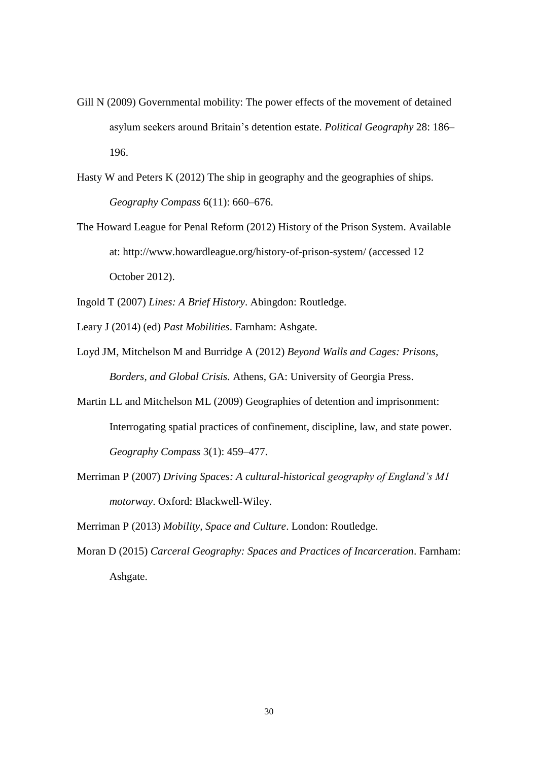- Gill N (2009) Governmental mobility: The power effects of the movement of detained asylum seekers around Britain's detention estate. *Political Geography* 28: 186– 196.
- Hasty W and Peters K (2012) The ship in geography and the geographies of ships. *Geography Compass* 6(11): 660–676.
- The Howard League for Penal Reform (2012) History of the Prison System. Available at: http://www.howardleague.org/history-of-prison-system/ (accessed 12 October 2012).

Ingold T (2007) *Lines: A Brief History*. Abingdon: Routledge.

Leary J (2014) (ed) *Past Mobilities*. Farnham: Ashgate.

- Loyd JM, Mitchelson M and Burridge A (2012) *Beyond Walls and Cages: Prisons, Borders, and Global Crisis.* Athens, GA: University of Georgia Press.
- Martin LL and Mitchelson ML (2009) Geographies of detention and imprisonment: Interrogating spatial practices of confinement, discipline, law, and state power. *Geography Compass* 3(1): 459–477.
- Merriman P (2007) *Driving Spaces: A cultural-historical geography of England's M1 motorway*. Oxford: Blackwell-Wiley.

Merriman P (2013) *Mobility, Space and Culture*. London: Routledge.

Moran D (2015) *Carceral Geography: Spaces and Practices of Incarceration*. Farnham: Ashgate.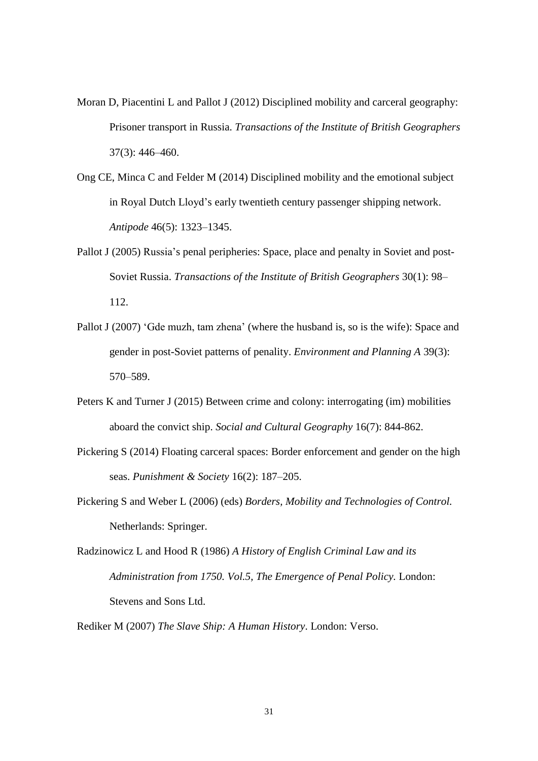- Moran D, Piacentini L and Pallot J (2012) Disciplined mobility and carceral geography: Prisoner transport in Russia. *Transactions of the Institute of British Geographers*  37(3): 446–460.
- Ong CE, Minca C and Felder M (2014) Disciplined mobility and the emotional subject in Royal Dutch Lloyd's early twentieth century passenger shipping network. *Antipode* 46(5): 1323–1345.
- Pallot J (2005) Russia's penal peripheries: Space, place and penalty in Soviet and post-Soviet Russia. *Transactions of the Institute of British Geographers* 30(1): 98– 112.
- Pallot J (2007) 'Gde muzh, tam zhena' (where the husband is, so is the wife): Space and gender in post-Soviet patterns of penality. *Environment and Planning A* 39(3): 570–589.
- Peters K and Turner J (2015) Between crime and colony: interrogating (im) mobilities aboard the convict ship. *Social and Cultural Geography* 16(7): 844-862.
- Pickering S (2014) Floating carceral spaces: Border enforcement and gender on the high seas. *Punishment & Society* 16(2): 187–205.
- Pickering S and Weber L (2006) (eds) *Borders, Mobility and Technologies of Control.*  Netherlands: Springer.
- Radzinowicz L and Hood R (1986) *A History of English Criminal Law and its Administration from 1750. Vol.5, The Emergence of Penal Policy.* London: Stevens and Sons Ltd.

Rediker M (2007) *The Slave Ship: A Human History*. London: Verso.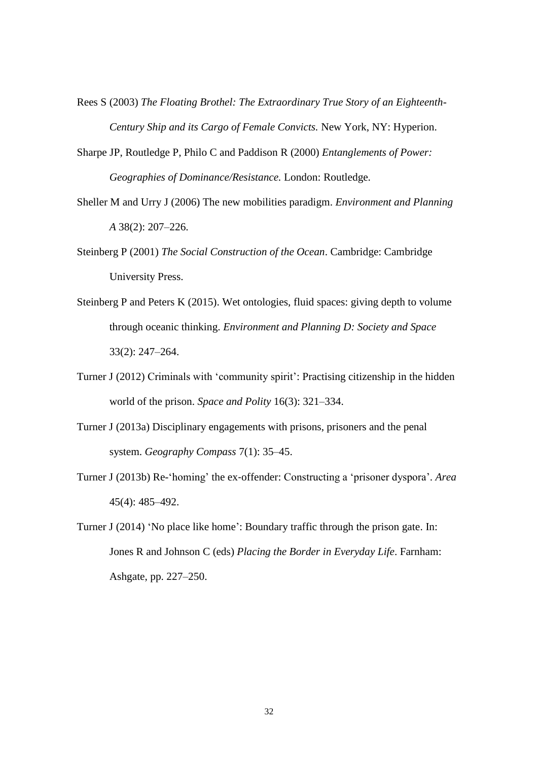- Rees S (2003) *The Floating Brothel: The Extraordinary True Story of an Eighteenth-Century Ship and its Cargo of Female Convicts.* New York, NY: Hyperion.
- Sharpe JP, Routledge P, Philo C and Paddison R (2000) *Entanglements of Power: Geographies of Dominance/Resistance.* London: Routledge.
- Sheller M and Urry J (2006) The new mobilities paradigm. *Environment and Planning A* 38(2): 207–226.
- Steinberg P (2001) *The Social Construction of the Ocean*. Cambridge: Cambridge University Press.
- Steinberg P and Peters K (2015). Wet ontologies, fluid spaces: giving depth to volume through oceanic thinking. *Environment and Planning D: Society and Space* 33(2): 247–264.
- Turner J (2012) Criminals with 'community spirit': Practising citizenship in the hidden world of the prison. *Space and Polity* 16(3): 321–334.
- Turner J (2013a) Disciplinary engagements with prisons, prisoners and the penal system. *Geography Compass* 7(1): 35–45.
- Turner J (2013b) Re-'homing' the ex‐offender: Constructing a 'prisoner dyspora'. *Area*  45(4): 485–492.
- Turner J (2014) 'No place like home': Boundary traffic through the prison gate. In: Jones R and Johnson C (eds) *Placing the Border in Everyday Life*. Farnham: Ashgate, pp. 227–250.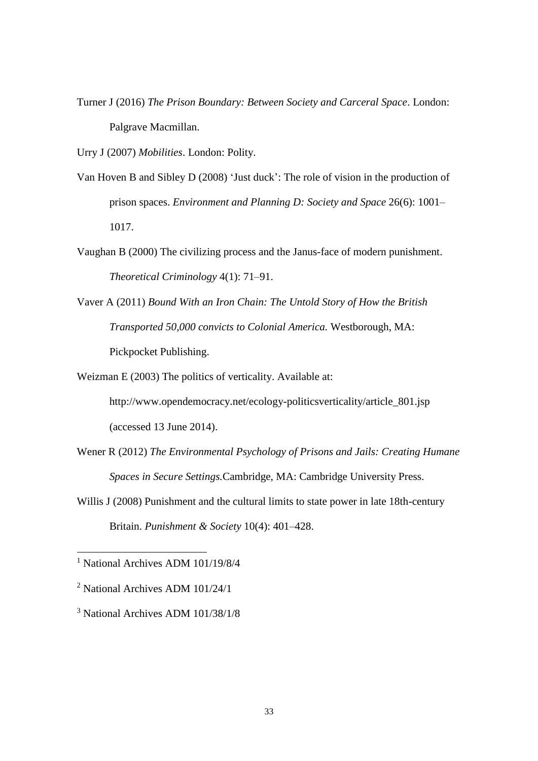Turner J (2016) *The Prison Boundary: Between Society and Carceral Space*. London: Palgrave Macmillan.

Urry J (2007) *Mobilities*. London: Polity.

- Van Hoven B and Sibley D (2008) 'Just duck': The role of vision in the production of prison spaces. *Environment and Planning D: Society and Space* 26(6): 1001– 1017.
- Vaughan B (2000) The civilizing process and the Janus-face of modern punishment. *Theoretical Criminology* 4(1): 71–91.

Vaver A (2011) *Bound With an Iron Chain: The Untold Story of How the British Transported 50,000 convicts to Colonial America.* Westborough, MA: Pickpocket Publishing.

Weizman E (2003) The politics of verticality. Available at:

http://www.opendemocracy.net/ecology-politicsverticality/article\_801.jsp (accessed 13 June 2014).

- Wener R (2012) *The Environmental Psychology of Prisons and Jails: Creating Humane Spaces in Secure Settings.*Cambridge, MA: Cambridge University Press.
- Willis J (2008) Punishment and the cultural limits to state power in late 18th-century Britain. *Punishment & Society* 10(4): 401–428.

<sup>1</sup> National Archives ADM 101/19/8/4

1

<sup>2</sup> National Archives ADM 101/24/1

<sup>3</sup> National Archives ADM 101/38/1/8